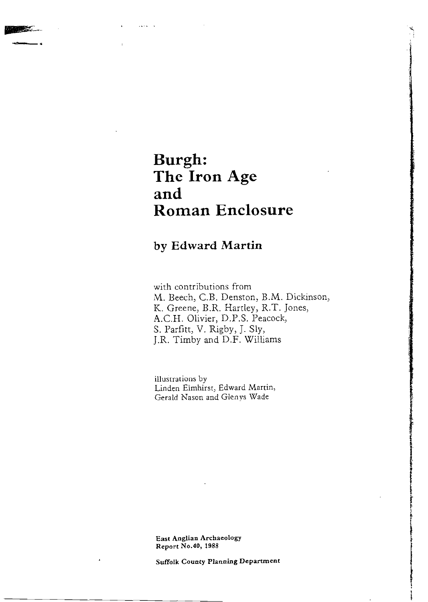# **Burgh: The Iron Age and Roman Enclosure**

### **by Edward Martin**

with contributions from M. Beech, C.B. Denston, B.M. Dickinson, K. Greene, B.R. Hartley, R.T. Jones, A.C.H. Olivier, D.P.S. Peacock, S. Parfitt, V. Rigby, J. Sly, J.R. Timby and D.F. Williams

illustrations by Linden Elmhirst, Edward Martin, Gerald Nason and Glenys Wade

East **Anglian Archaeology**  Report No.40, 1988

Suffolk County Planning Department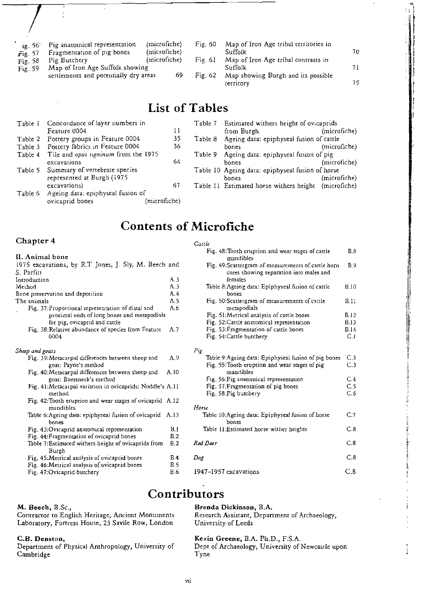| ig. 56 | Pig anatomical representation<br>and the contract of the contract of the contract of the contract of the contract of the contract of the contract of the contract of the contract of the contract of the contract of the contract of the contract of the contra | (microfiche)<br>$\mathcal{L} = \mathcal{L} = \mathcal{L} = \mathcal{L} = \mathcal{L}$ |
|--------|-----------------------------------------------------------------------------------------------------------------------------------------------------------------------------------------------------------------------------------------------------------------|---------------------------------------------------------------------------------------|

- Fig. 57 Fragmentation of pig bones (microfiche)<br>Fig. 58 Pig Butchery (microfiche)
- Fig. 58 Pig Butchery<br>Fig. 59 Map of Iron.
- Map of Iron Age Suffolk showing settlements and potentially dry areas 69
- Fig. 60 Map of Iron Age tribal territories in Suffolk 70
- Fig. 61 Map of Iron Age tribal contrasts in Suffolk 71
- Fig. 62 Map showing Burgh and its possible territory 75

## List of Tables

|         | Table 1 Concordance of layer numbers in      |              |         | Table 7 Estimated withers height of ovicaprids       |              |  |  |
|---------|----------------------------------------------|--------------|---------|------------------------------------------------------|--------------|--|--|
|         | Feature 0004                                 | 11           |         | from Burgh                                           | (microfiche) |  |  |
|         | Table 2 Pottery groups in Feature 0004       | 35           | Table 8 | Ageing data: epiphyseal fusion of cattle             |              |  |  |
|         | Table 3 Pottery fabrics in Feature 0004      | 36           |         | bones                                                | (microfiche) |  |  |
|         | Table 4 Tile and opus signinum from the 1975 |              | Table 9 | Ageing data: epiphyseal fusion of pig                |              |  |  |
|         | excavations                                  | 64           |         | bones                                                | (microfiche) |  |  |
|         | Table 5 Summary of vertebrate species        |              |         | Table 10 Ageing data: epiphyseal fusion of horse     |              |  |  |
|         | represented at Burgh (1975                   |              |         | bones                                                | (microfiche) |  |  |
|         | excavations)                                 | 67           |         | Table 11 Estimated horse withers height (microfiche) |              |  |  |
| Table 6 | Ageing data: epiphyseal fusion of            |              |         |                                                      |              |  |  |
|         | ovicaprid bones                              | (microfiche) |         |                                                      |              |  |  |

## Contents of Microfiche

*Cattle* 

### Chapter 4

| II. Animal bone                                                                                                                    |                |
|------------------------------------------------------------------------------------------------------------------------------------|----------------|
| 1975 excavations, by R.T. Jones, J. Sly, M. Beech and                                                                              |                |
| S. Parfitt                                                                                                                         |                |
| Introduction                                                                                                                       | A.3            |
| Method                                                                                                                             | A.3            |
| Bone preservation and deposition                                                                                                   | A.4            |
| The animals                                                                                                                        | A.5            |
| Fig. 37: Proportional representation of distal and<br>proximal ends of long bones and metapodials<br>for pig, ovicaprid and cattle | A.6            |
| Fig. 38: Relative abundance of species from Feature<br>0004                                                                        | A.7            |
| Sheep and goars                                                                                                                    |                |
| Fig. 39: Metacarpal differences between sheep and<br>goat: Payne's method                                                          | A.9            |
| Fig. 40:Metacarpal differences between sheep and<br>goat: Boessneck's method                                                       | A.10           |
| Fig. 41:Metacarpal variation in ovicaprids: Noddle's A.11<br>method                                                                |                |
| Fig. 42: Tooth eruption and wear stages of ovicaprid A.12<br>mandibles                                                             |                |
| Table 6:Ageing data: epiphyseal fusion of ovicaprid A.13<br>bones                                                                  |                |
| Fig. 43:Ovicaprid anatomical representation                                                                                        | B.1            |
| Fig. 44: Fragmentation of ovicaprid bones                                                                                          | B.2            |
| Table 7: Estimated withers height of ovicaprids from<br>Burgh                                                                      | B <sub>2</sub> |
| Fig. 45: Metrical analysis of ovicaprid bones                                                                                      | B.4            |
| Fig. 46:Metrical analysis of ovicaprid bones                                                                                       | B.5            |
| Fig. 47:Ovicaprid butchery                                                                                                         | <b>B.6</b>     |

### M. Beech, B.Sc.,

Contractor to English Heritage, Ancient Monuments Laboratory, Fortress House, 23 Savile Row, London

### C.B. Denston,

Department of Physical Anthropology, University of Cambridge Tyne

| Fig. 48: Tooth eruption and wear stages of cattle<br>mandibles                                            | B.8         |
|-----------------------------------------------------------------------------------------------------------|-------------|
| Fig. 49: Scattergram of measurements of cattle horn<br>cores showing separation into males and<br>females | B.9         |
| Table 8:Ageing data: Epiphyseal fusion of cattle<br>bones                                                 | B.10        |
| Fig. 50:Scattergram of measurements of cattle<br>metapodials                                              | B.11        |
| Fig. 51:Metrical analysis of cattle bones                                                                 | B.12        |
| Fig. 52:Cattle anatomical representation                                                                  | <b>B.13</b> |
| Fig. 53: Fragmentation of cattle bones                                                                    | <b>B.14</b> |
| Fig. 54: Cattle butchery                                                                                  | C.1         |
| Pig                                                                                                       |             |
| Table 9:Ageing data: Epiphyseal fusion of pig bones                                                       | C.3         |
| Fig. 55: Tooth eruption and wear stages of pig<br>mandibles                                               | C.3         |
| Fig. 56: Pig anatomical representation                                                                    | C.4         |
| Fig. 57: Fragmentation of pig bones                                                                       | C.5         |
| Fig. 58: Pig butchery                                                                                     | C.6         |
| Horse                                                                                                     |             |
| Table 10:Ageing data: Epiphyseal fusion of horse<br>bones                                                 | C.7         |
| Table 11: Estimated horse wither heights                                                                  | C.8         |
| Red Deer                                                                                                  | C.8         |
| Dog                                                                                                       | C.8         |
| 1947-1957 excavations                                                                                     | C.8         |

## Contributors

### Brenda Dickinson, B.A.

Research Assistant, Department of Archaeology, University of Leeds

Kevin Greene, B.A. Ph.D., F.S.A.<br>Dept of Archaeology, University of Newcastle upon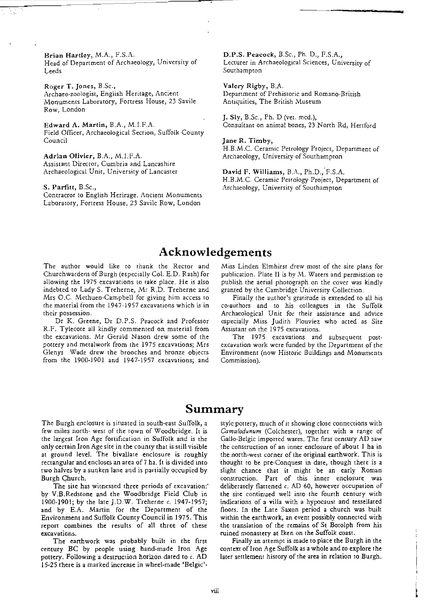Brian Hartley, M.A., F.S.A.<br>Head of Department of Archaeology, University of Lecturer in Archaeological Sciences, University of Head of Department of Archaeology, University of Leeds Southampton

Roger T. Jones, B.Sc., Valery Rigby, B.A.<br>Archaeo-zoologist, English Heritage, Ancient Cheminent of Prehis Monuments Laboratory) Fortress House, 23 Savile Antiquities, The British Museum Row, London

Field Officer, Archaeological Section, Suffolk Counry Council **Council** is the contract of the council in the set of the set of the set of the set of the set of the set of the set of the set of the set of the set of the set of the set of the set of the set of the set of the s

Adrian Olivier, B.A., M.I.F.A. **Archaeology**, University of Southampton Assistant Director, Cumbria and Lancashire Archaeological Unit, University of Lancaster **David F. Williams, B.A., Ph.D., F.S.A.** 

Contracror to English Herirage, Ancient Monumenrs Laboratory, Fortress House, 23 Savile Row, London

Department of Prehistoric and Romano-British

J. Sly, B.Sc., Ph. D (vel. med.), Edward A. Martin, B.A., M.I.F.A. Consultant on anima! bones, 23 North Rd, Hertford

H.B.M.C. Ceramic Petrology Project, Department of

H.B.M.C. Ceramic Petrology Project, Department of S. Parfitt, B.Sc., **S. Archaeology**, University of Southampton

### Acknowledgements

The author would like to thank the Rector and Miss Linden Eimhirst drew most of the site plans for Churchwardens of Burgh (especially Col. E.D. Rash) for publication. Plate II is by M. Waters and permission to allowing the 1975 excavations to take place. He is also publish the aerial photograph on the cover was kindly indebted to Lady S. Treherne, Mr R.D. Treherne and granted by the Cambridge University Collection. Mrs O.C. Methuen-Campbell for giving him access to Finally the author's gratitude is extended to all his the material from the 1947-1957 excavations which is in co-authors and to his colleagues in the Suffolk

R.F. Tylecore all kindly commented on material from Assistant on the 1975 excavations. the excavations. Mr Gerald Nason drew some of the pottery and metalwork from the 1975 excavations; Mrs Glenys Wade drew the brooches and bronze objects Environment (now Historic Buildings and Monuments from the 1900-1901 and 1947-1957 excavarions; and Commission).

their possession. Archaeological Unit for their assistance and advice Dr K. Greene, Dr D.P.S. Peacock and Professor especially Miss judith Plouviez who acted as Site

> The 1975 excavations and subsequent postexcavation work were funded by the Department of the

### Summary

few miles north- west of the town of Woodbridge. It is *Camulodunum* (Colchester), together with a range of the largest Iron Age fortification in Suffolk and is the Gallo-Belgic imported wares. The first century AD saw only cerrain Iron Age site in the county that is still visible the construction of an inner enclosure of about 1 ha in at ground level. The bivallate enclosure is roughly the north-west corner of the original earthwork. This is rectangular and encloses an area of7 ha. It is divided into thought to be pre-Conquest in date, though there is a two halves by a sunken lane and is partially occupied by slight chance that it might be an early Roman

by V.B.Redstone and the Woodbridge Field Club in the sire continued well into the fourth century with 1900-1901; by rhe lare ].D.W. Treherne c. 1947-1957; indications of a villa with a hypocaust and tessellated and by E.A. Martin for the Department of the floors. In the Late Saxon period a church was built Environment and Suffolk County Council in 1975. This within the earthwork, an event possibly connected with report combines the results of all three of these the translation of the remains of St Borolph from his excavations. ruined monastery at Iken on the Suffolk coast.

century BC by people using hand-made Iron Age context of Iron Age Suffolk as a whole and to explore the pottery. Following a destruction horizon dated to c. AD later settlement history of the area in relation to Burgh. 15-25 there is a marked increase in wheel-made 'Belgic'.

The Burgh enclosure is situated in south-east Suffolk, a style pottery, much of it showing close connections with Burgh Church. The construction. Part of this inner enclosure was The site has witnessed three periods of excavation:" deliberately flattened c. AD 60, however occupation of

The earthwork was probably built in the first Finally an attempt is made to place the Burgh in the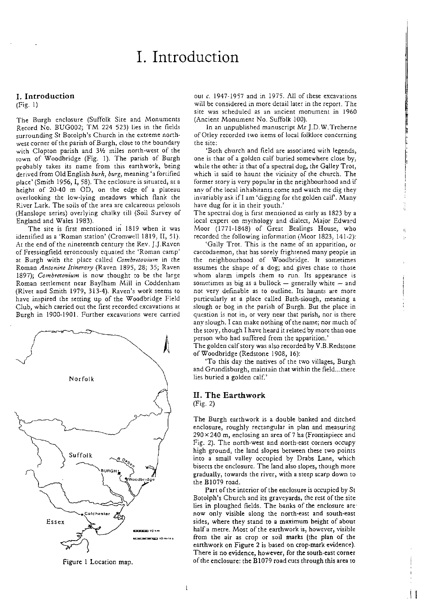# 1. Introduction

### 1. Introduction

#### (Fig. 1)

The Burgh enclosure (Suffolk Site and Monuments Record No. BUG002; TM 224 523) lies in the fields surrounding St Botolph's Church in the extreme northwest corner of the parish of Burgh, close to the boundary with Clopton parish and  $3\frac{1}{2}$  miles north-west of the town of Woodbridge (Fig. 1). The parish of Burgh probably takes its name from this earthwork, being derived from Old English *burh, burg,* meaning 'a fortified place' (Smith 1956, I, 58). The enclosure is situated, at a height of 20-40 m OD, on the edge of a plateau overlooking the low-lying meadows which flank the River Lark. The soils of the area are calcareous pelosols (Hanslope series) overlying chalky till (Soil Survey of England and Wales 1983).

The site is first mentioned in 1819 when it was identified as a 'Roman station' (Cromwell 1819, II, 51). At the end of the nineteenth century the Rev. J.J.Raven of Fressingfield erroneously equated the 'Roman camp' at Burgh with the place called *Combretooium* in the Roman *Antonine Itinerary* (Raven 1895) 28; 35; Raven *1897); Combrerovium* is now thought to be the large Roman settlement near BayIham Mill in Coddenham (Rivet and Smith 1979, 313-4). Raven's work seems to have inspired the setting up of the Woodbridge Field Club, which carried out the first recorded excavations at Burgh in 1900~l901. Further excavations were carried



Figure 1 Location map.

out c. 1947-1957 and in 1975. All of these excavations will be considered in more detail later in the report. The site was scheduled as an ancient monument in 1960 (Ancient Monument No. Suffolk .100).

In an unpublished manuscript Mr J.D.W.Treherne of Otley recorded two items of local folklore concerning the site:

'Both church and field are associated with legends, one is that of a golden calf buried somewhere close by, while the other is that of a spectral dog, the Galley Trot, which is said to haunt the vicinity of the church. The former story is very popular in the neighbourhood and if any of the local inhabitants come and watch me dig they invariably ask if I am 'digging for the golden calf'. Many have dug for it in their youth.'

The spectral dog is first mentioned as early as 1823 by a local expert on mythology and dialect, Major Edward Moor (1771-1848) of Great Bealings House, who recorded the following information (Moor 1823, 141-2):

'Gally Trot. This is the name of an apparition, or caecodaemon, that has sorely frightened many people in the neighbourhood of Woodbridge. Ir sometimes assumes the shape of a dog; and gives chase to those whom alarm impels them to run. Its appearance is sometimes as big as a bullock  $-$  generally white  $-$  and nor very definable as to outline. Its haunts are more particularly at a place called Bath-slough, meaning a slough or bog in the parish of Burgh. But the place in question is not in) or very near that parish, nor is there any slough. I can make nothing of the name; nor much of the story, though I have heard it related by more than one person who had suffered from the apparition.'

The golden calfstory was also recorded by V.B.Redstone of Woodbridge (Redstone 1908, 16):

'To this day the natives of the two villages, Burgh and Grundisburgh, maintain that within the field... there lies buried a golden calf.'

### II. The Earthwork (Fig. 2)

The Burgh earthwork is a double banked and ditched enclosure, roughly rectangular in plan and measuring  $290 \times 240$  m, enclosing an area of 7 ha (Frontispiece and Fig. 2). The north-west and north-east corners occupy high ground, the land slopes between these two points into a small valley occupied by Drabs Lane, which bisects the enclosure. The land also slopes, though more gradually, towards the river, with a steep scarp down to the BI079 road.

Part of the interior of the enclosure is occupied by St Botolph's Church and its graveyards, the rest of the site lies in ploughed fields. The banks of the enclosure are now only visible along the north-east and south-east sides, where they stand to a maximum height of about haifa metre. Most of the earthwork is, however, visible from the air as crop or soil marks (the plan of the earthwork on Figure 2 is based on crop-mark evidence). There is no evidence, however, for the south-east corner of the enclosure: the  $B1079$  road cuts through this area to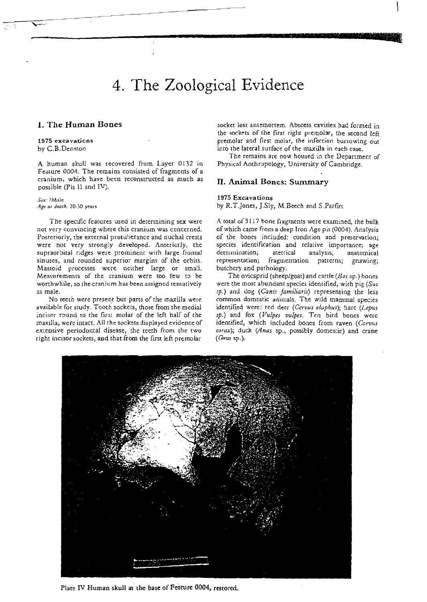# 4. The Zoological Evidence

~-------------------\_r.'..

### I. The Human Bones

#### 1975 excavations by C.B.Denston

A human skull was recovered from Layer 0132 in Feature 0004. The remains consisted of fragments of a cranium, which have been reconstructed as much as possible (Pis 11 and IV).

Sex: ?Male *Age at death:* 20-30 years

The specific features used in determining sex were not very convincing where this cranium was concerned. Posteriorly, the external protuberance and nuchal crests were not very strongly developed. Anteriorly, the supraorbital ridges were prominent with large frontal sinuses, and rounded superior margins of the orbits. Mastoid processes were neither large or small, Measurements of the cranium were too few to be worthwhile, so the cranium has been assigned tentatively as male.

No teeth were present but pans of the maxilla were available for study. Tooth sockets, those from the medial incisor round to the first molar of the left half of the maxilla, were intact. All the sockets displayed evidence of extensive periodontal disease, the teeth from the two right incisor sockets, and that from the first left premolar

socket lost antemortem. Abscess cavities had formed in the sockets of the first right premolar, the second left premolar and first molar, the infection burrowing out into the lareral surface of the maxilla in each case.

The remains are now housed in the Department of Physical Anthropology, University of Cambridge.

### II. Animal Bones: Summary

#### 1975 Excavations

by R.T.Jones, J.Sly, M.Beech and S.Parfitt

A total of3117 bone fragments were examined, the bulk ofwhich carne from a deep Iron Age pit (0004). Analysis of the bones included: condition and preservation; species identification and relative importance; age dererminarion; metrical analysis, anatomical representation, fragmentation patterns; gnawing: butchery and pathology.

The ovicaprid (sheep/goat) and cattle *(B05* sp.) bones were the most abundant species identified, with pig *(Sus sp.)* ami dog *(Canis familiaris)* representing the less common domestic animals. The wild mammal species identified were: red deer *(Cervus e/uphus);* hare *(Lepus sp.)* and fox *(Vulpes uulpes.* Ten bird bones were identified, which included bones from raven *(Corvus*  corax); duck (Anas sp., possibly domestic) and crane  $(Grus$  sp.).



Plate IV Human skull at the base of Feature 0004, restored.